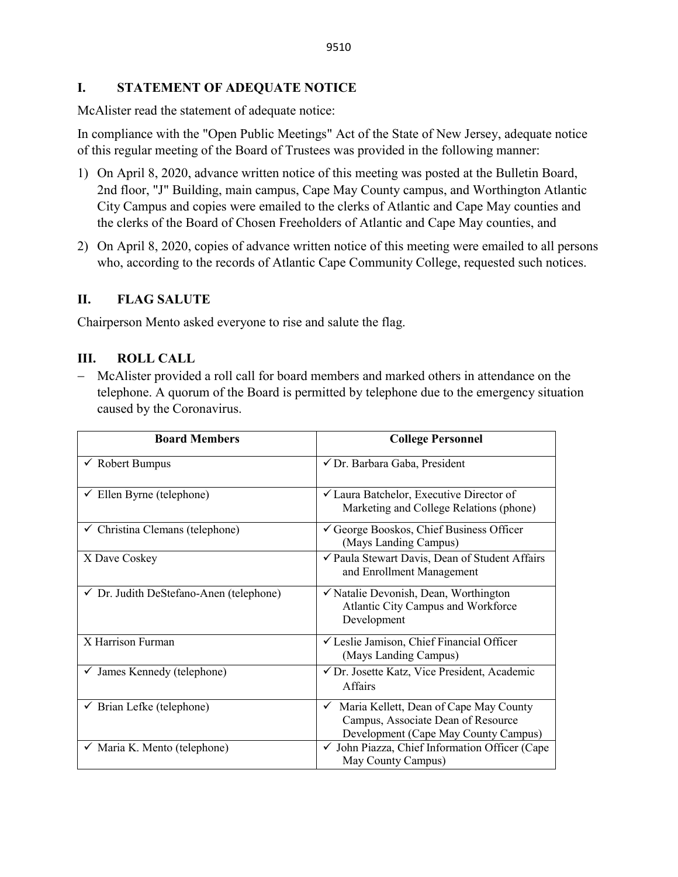## **I. STATEMENT OF ADEQUATE NOTICE**

McAlister read the statement of adequate notice:

In compliance with the "Open Public Meetings" Act of the State of New Jersey, adequate notice of this regular meeting of the Board of Trustees was provided in the following manner:

- 1) On April 8, 2020, advance written notice of this meeting was posted at the Bulletin Board, 2nd floor, "J" Building, main campus, Cape May County campus, and Worthington Atlantic City Campus and copies were emailed to the clerks of Atlantic and Cape May counties and the clerks of the Board of Chosen Freeholders of Atlantic and Cape May counties, and
- 2) On April 8, 2020, copies of advance written notice of this meeting were emailed to all persons who, according to the records of Atlantic Cape Community College, requested such notices.

## **II. FLAG SALUTE**

Chairperson Mento asked everyone to rise and salute the flag.

## **III. ROLL CALL**

− McAlister provided a roll call for board members and marked others in attendance on the telephone. A quorum of the Board is permitted by telephone due to the emergency situation caused by the Coronavirus.

| <b>Board Members</b>                               | <b>College Personnel</b>                                                                                                             |  |
|----------------------------------------------------|--------------------------------------------------------------------------------------------------------------------------------------|--|
| $\checkmark$ Robert Bumpus                         | √ Dr. Barbara Gaba, President                                                                                                        |  |
| $\checkmark$ Ellen Byrne (telephone)               | $\checkmark$ Laura Batchelor, Executive Director of<br>Marketing and College Relations (phone)                                       |  |
| $\checkmark$ Christina Clemans (telephone)         | George Booskos, Chief Business Officer<br>(Mays Landing Campus)                                                                      |  |
| X Dave Coskey                                      | ✔ Paula Stewart Davis, Dean of Student Affairs<br>and Enrollment Management                                                          |  |
| $\checkmark$ Dr. Judith DeStefano-Anen (telephone) | √ Natalie Devonish, Dean, Worthington<br>Atlantic City Campus and Workforce<br>Development                                           |  |
| $\overline{X}$ Harrison Furman                     | √ Leslie Jamison, Chief Financial Officer<br>(Mays Landing Campus)                                                                   |  |
| $\checkmark$ James Kennedy (telephone)             | √ Dr. Josette Katz, Vice President, Academic<br><b>Affairs</b>                                                                       |  |
| $\checkmark$ Brian Lefke (telephone)               | Maria Kellett, Dean of Cape May County<br>$\checkmark$<br>Campus, Associate Dean of Resource<br>Development (Cape May County Campus) |  |
| √ Maria K. Mento (telephone)                       | √ John Piazza, Chief Information Officer (Cape<br>May County Campus)                                                                 |  |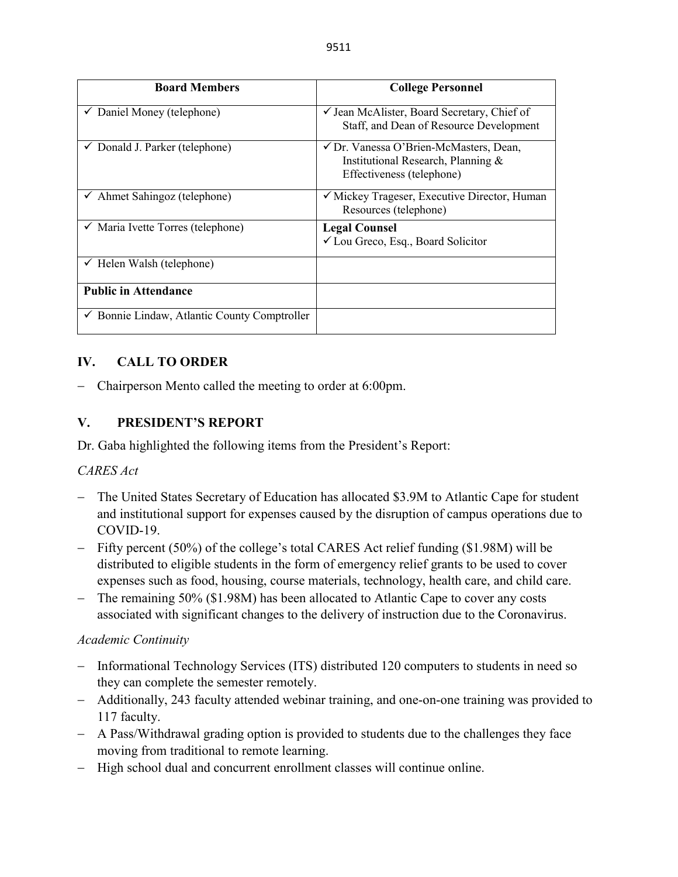| <b>Board Members</b>                         | <b>College Personnel</b>                                                                                  |  |
|----------------------------------------------|-----------------------------------------------------------------------------------------------------------|--|
| $\checkmark$ Daniel Money (telephone)        | $\checkmark$ Jean McAlister, Board Secretary, Chief of<br>Staff, and Dean of Resource Development         |  |
| $\checkmark$ Donald J. Parker (telephone)    | ✓ Dr. Vanessa O'Brien-McMasters, Dean,<br>Institutional Research, Planning &<br>Effectiveness (telephone) |  |
| $\checkmark$ Ahmet Sahingoz (telephone)      | $\checkmark$ Mickey Trageser, Executive Director, Human<br>Resources (telephone)                          |  |
| $\checkmark$ Maria Ivette Torres (telephone) | <b>Legal Counsel</b><br>✓ Lou Greco, Esq., Board Solicitor                                                |  |
| $\checkmark$ Helen Walsh (telephone)         |                                                                                                           |  |
| <b>Public in Attendance</b>                  |                                                                                                           |  |
| Bonnie Lindaw, Atlantic County Comptroller   |                                                                                                           |  |

# **IV. CALL TO ORDER**

− Chairperson Mento called the meeting to order at 6:00pm.

## **V. PRESIDENT'S REPORT**

Dr. Gaba highlighted the following items from the President's Report:

## *CARES Act*

- − The United States Secretary of Education has allocated \$3.9M to Atlantic Cape for student and institutional support for expenses caused by the disruption of campus operations due to COVID-19.
- − Fifty percent (50%) of the college's total CARES Act relief funding (\$1.98M) will be distributed to eligible students in the form of emergency relief grants to be used to cover expenses such as food, housing, course materials, technology, health care, and child care.
- − The remaining 50% (\$1.98M) has been allocated to Atlantic Cape to cover any costs associated with significant changes to the delivery of instruction due to the Coronavirus.

## *Academic Continuity*

- − Informational Technology Services (ITS) distributed 120 computers to students in need so they can complete the semester remotely.
- − Additionally, 243 faculty attended webinar training, and one-on-one training was provided to 117 faculty.
- − A Pass/Withdrawal grading option is provided to students due to the challenges they face moving from traditional to remote learning.
- − High school dual and concurrent enrollment classes will continue online.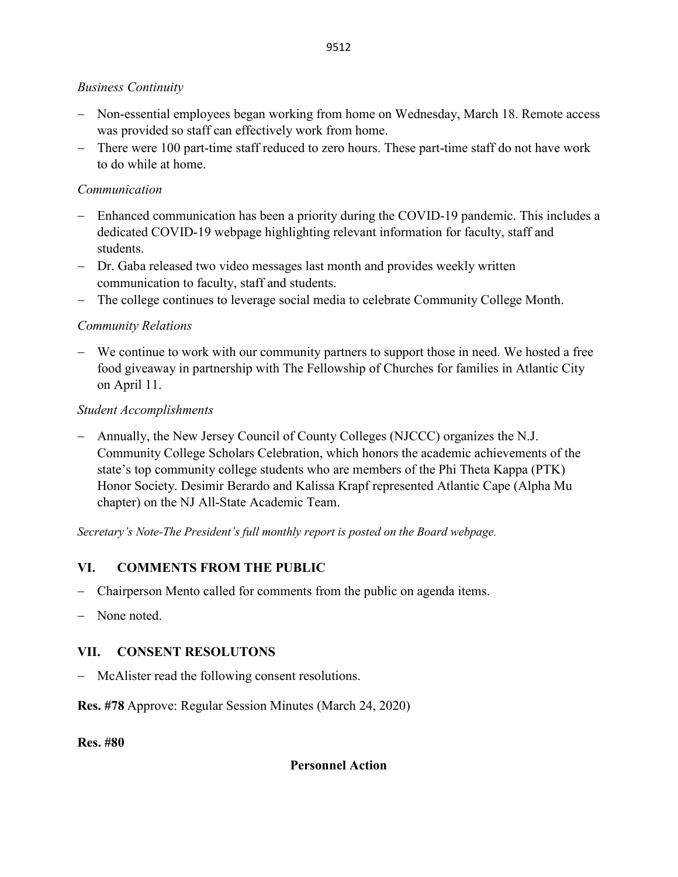## *Business Continuity*

- − Non-essential employees began working from home on Wednesday, March 18. Remote access was provided so staff can effectively work from home.
- − There were 100 part-time staff reduced to zero hours. These part-time staff do not have work to do while at home.

## *Communication*

- − Enhanced communication has been a priority during the COVID-19 pandemic. This includes a dedicated COVID-19 webpage highlighting relevant information for faculty, staff and students.
- − Dr. Gaba released two video messages last month and provides weekly written communication to faculty, staff and students.
- − The college continues to leverage social media to celebrate Community College Month.

# *Community Relations*

− We continue to work with our community partners to support those in need. We hosted a free food giveaway in partnership with The Fellowship of Churches for families in Atlantic City on April 11.

# *Student Accomplishments*

− Annually, the New Jersey Council of County Colleges (NJCCC) organizes the N.J. Community College Scholars Celebration, which honors the academic achievements of the state's top community college students who are members of the Phi Theta Kappa (PTK) Honor Society. Desimir Berardo and Kalissa Krapf represented Atlantic Cape (Alpha Mu chapter) on the NJ All-State Academic Team.

*Secretary's Note-The President's full monthly report is posted on the Board webpage.*

# **VI. COMMENTS FROM THE PUBLIC**

- − Chairperson Mento called for comments from the public on agenda items.
- None noted.

# **VII. CONSENT RESOLUTONS**

− McAlister read the following consent resolutions.

**Res. #78** Approve: Regular Session Minutes (March 24, 2020)

**Res. #80**

## **Personnel Action**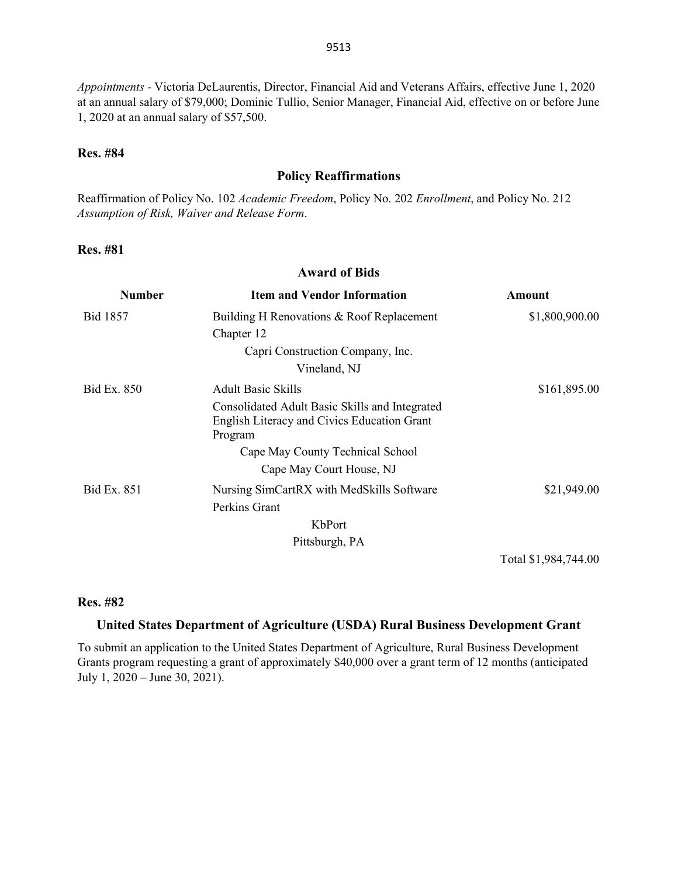*Appointments* - Victoria DeLaurentis, Director, Financial Aid and Veterans Affairs, effective June 1, 2020 at an annual salary of \$79,000; Dominic Tullio, Senior Manager, Financial Aid, effective on or before June 1, 2020 at an annual salary of \$57,500.

#### **Res. #84**

#### **Policy Reaffirmations**

Reaffirmation of Policy No. 102 *Academic Freedom*, Policy No. 202 *Enrollment*, and Policy No. 212 *Assumption of Risk, Waiver and Release Form*.

#### **Res. #81**

#### **Award of Bids**

| <b>Number</b>   | <b>Item and Vendor Information</b>                                                                       | Amount         |
|-----------------|----------------------------------------------------------------------------------------------------------|----------------|
| <b>Bid 1857</b> | Building H Renovations & Roof Replacement                                                                | \$1,800,900.00 |
|                 | Chapter 12                                                                                               |                |
|                 | Capri Construction Company, Inc.                                                                         |                |
|                 | Vineland, NJ                                                                                             |                |
| Bid Ex. 850     | <b>Adult Basic Skills</b>                                                                                | \$161,895.00   |
|                 | Consolidated Adult Basic Skills and Integrated<br>English Literacy and Civics Education Grant<br>Program |                |
|                 | Cape May County Technical School                                                                         |                |
|                 | Cape May Court House, NJ                                                                                 |                |
| Bid Ex. 851     | Nursing SimCartRX with MedSkills Software                                                                | \$21,949.00    |
|                 | Perkins Grant                                                                                            |                |
|                 | KbPort                                                                                                   |                |
|                 | Pittsburgh, PA                                                                                           |                |
|                 |                                                                                                          |                |

Total \$1,984,744.00

#### **Res. #82**

#### **United States Department of Agriculture (USDA) Rural Business Development Grant**

To submit an application to the United States Department of Agriculture, Rural Business Development Grants program requesting a grant of approximately \$40,000 over a grant term of 12 months (anticipated July 1, 2020 – June 30, 2021).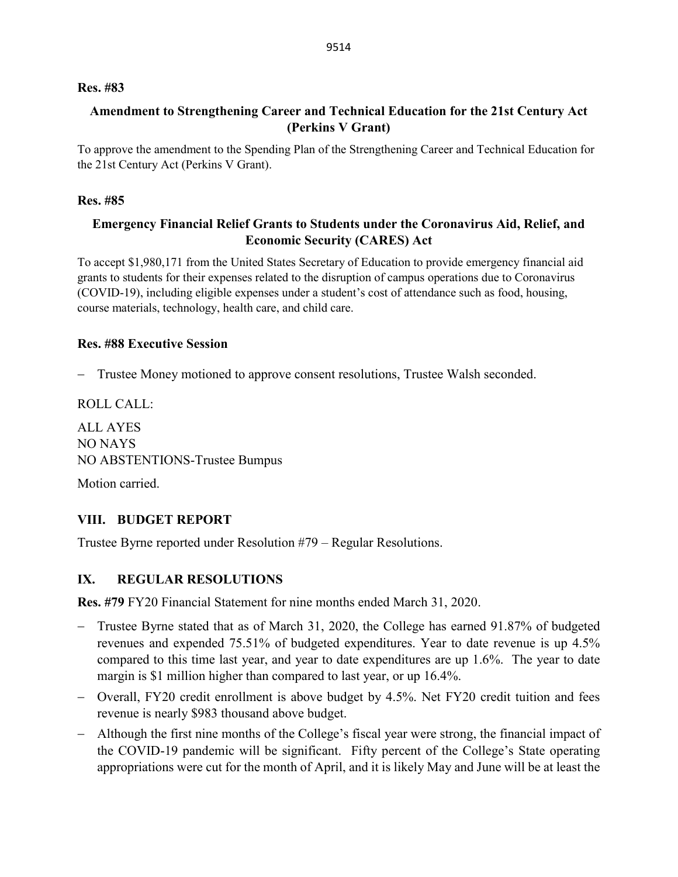#### **Res. #83**

## **Amendment to Strengthening Career and Technical Education for the 21st Century Act (Perkins V Grant)**

To approve the amendment to the Spending Plan of the Strengthening Career and Technical Education for the 21st Century Act (Perkins V Grant).

#### **Res. #85**

## **Emergency Financial Relief Grants to Students under the Coronavirus Aid, Relief, and Economic Security (CARES) Act**

To accept \$1,980,171 from the United States Secretary of Education to provide emergency financial aid grants to students for their expenses related to the disruption of campus operations due to Coronavirus (COVID-19), including eligible expenses under a student's cost of attendance such as food, housing, course materials, technology, health care, and child care.

#### **Res. #88 Executive Session**

Trustee Money motioned to approve consent resolutions, Trustee Walsh seconded.

ROLL CALL:

ALL AYES NO NAYS NO ABSTENTIONS-Trustee Bumpus

Motion carried.

## **VIII. BUDGET REPORT**

Trustee Byrne reported under Resolution #79 – Regular Resolutions.

## **IX. REGULAR RESOLUTIONS**

**Res. #79** FY20 Financial Statement for nine months ended March 31, 2020.

- − Trustee Byrne stated that as of March 31, 2020, the College has earned 91.87% of budgeted revenues and expended 75.51% of budgeted expenditures. Year to date revenue is up 4.5% compared to this time last year, and year to date expenditures are up 1.6%. The year to date margin is \$1 million higher than compared to last year, or up 16.4%.
- − Overall, FY20 credit enrollment is above budget by 4.5%. Net FY20 credit tuition and fees revenue is nearly \$983 thousand above budget.
- − Although the first nine months of the College's fiscal year were strong, the financial impact of the COVID-19 pandemic will be significant. Fifty percent of the College's State operating appropriations were cut for the month of April, and it is likely May and June will be at least the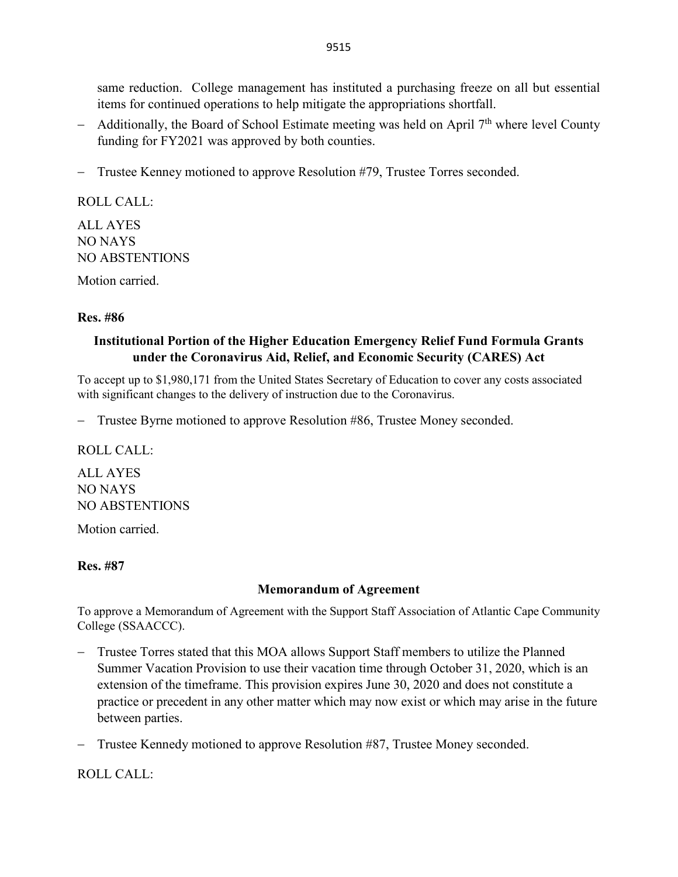same reduction. College management has instituted a purchasing freeze on all but essential items for continued operations to help mitigate the appropriations shortfall.

- − Additionally, the Board of School Estimate meeting was held on April 7<sup>th</sup> where level County funding for FY2021 was approved by both counties.
- − Trustee Kenney motioned to approve Resolution #79, Trustee Torres seconded.

ROLL CALL: ALL AYES NO NAYS NO ABSTENTIONS

Motion carried.

#### **Res. #86**

## **Institutional Portion of the Higher Education Emergency Relief Fund Formula Grants under the Coronavirus Aid, Relief, and Economic Security (CARES) Act**

To accept up to \$1,980,171 from the United States Secretary of Education to cover any costs associated with significant changes to the delivery of instruction due to the Coronavirus.

Trustee Byrne motioned to approve Resolution #86, Trustee Money seconded.

ROLL CALL:

ALL AYES NO NAYS NO ABSTENTIONS

Motion carried.

#### **Res. #87**

#### **Memorandum of Agreement**

To approve a Memorandum of Agreement with the Support Staff Association of Atlantic Cape Community College (SSAACCC).

- − Trustee Torres stated that this MOA allows Support Staff members to utilize the Planned Summer Vacation Provision to use their vacation time through October 31, 2020, which is an extension of the timeframe. This provision expires June 30, 2020 and does not constitute a practice or precedent in any other matter which may now exist or which may arise in the future between parties.
- − Trustee Kennedy motioned to approve Resolution #87, Trustee Money seconded.

ROLL CALL: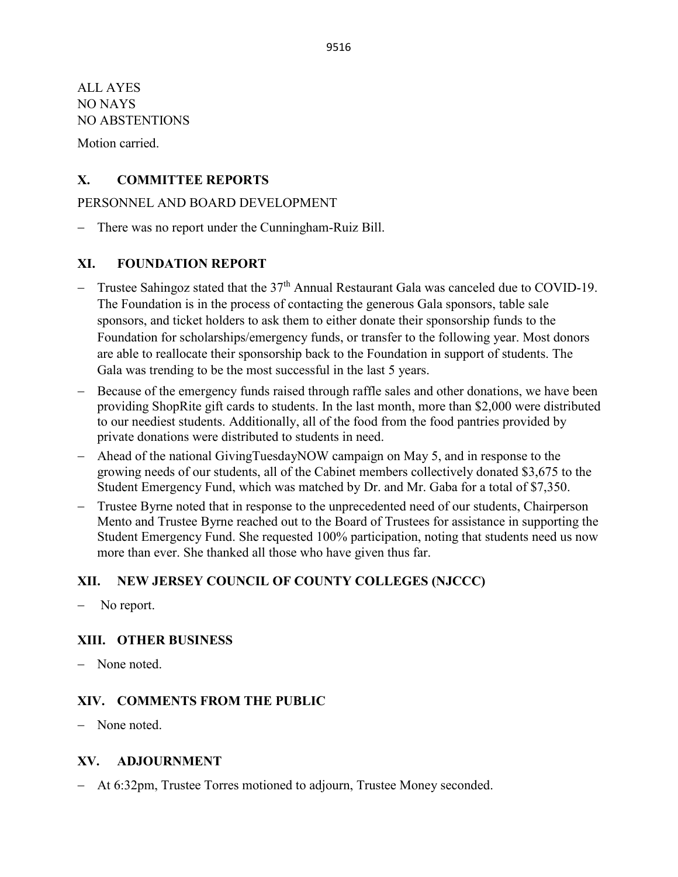ALL AYES NO NAYS NO ABSTENTIONS

Motion carried.

## **X. COMMITTEE REPORTS**

## PERSONNEL AND BOARD DEVELOPMENT

There was no report under the Cunningham-Ruiz Bill.

## **XI. FOUNDATION REPORT**

- − Trustee Sahingoz stated that the 37<sup>th</sup> Annual Restaurant Gala was canceled due to COVID-19. The Foundation is in the process of contacting the generous Gala sponsors, table sale sponsors, and ticket holders to ask them to either donate their sponsorship funds to the Foundation for scholarships/emergency funds, or transfer to the following year. Most donors are able to reallocate their sponsorship back to the Foundation in support of students. The Gala was trending to be the most successful in the last 5 years.
- Because of the emergency funds raised through raffle sales and other donations, we have been providing ShopRite gift cards to students. In the last month, more than \$2,000 were distributed to our neediest students. Additionally, all of the food from the food pantries provided by private donations were distributed to students in need.
- − Ahead of the national GivingTuesdayNOW campaign on May 5, and in response to the growing needs of our students, all of the Cabinet members collectively donated \$3,675 to the Student Emergency Fund, which was matched by Dr. and Mr. Gaba for a total of \$7,350.
- − Trustee Byrne noted that in response to the unprecedented need of our students, Chairperson Mento and Trustee Byrne reached out to the Board of Trustees for assistance in supporting the Student Emergency Fund. She requested 100% participation, noting that students need us now more than ever. She thanked all those who have given thus far.

## **XII. NEW JERSEY COUNCIL OF COUNTY COLLEGES (NJCCC)**

No report.

## **XIII. OTHER BUSINESS**

− None noted.

## **XIV. COMMENTS FROM THE PUBLIC**

− None noted.

## **XV. ADJOURNMENT**

− At 6:32pm, Trustee Torres motioned to adjourn, Trustee Money seconded.